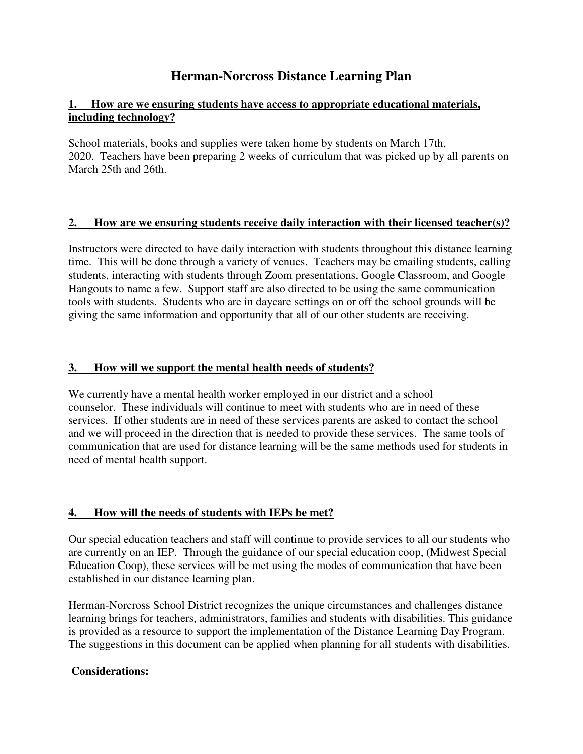# **Herman-Norcross Distance Learning Plan**

### **1. How are we ensuring students have access to appropriate educational materials, including technology?**

School materials, books and supplies were taken home by students on March 17th, 2020. Teachers have been preparing 2 weeks of curriculum that was picked up by all parents on March 25th and 26th.

### **2. How are we ensuring students receive daily interaction with their licensed teacher(s)?**

Instructors were directed to have daily interaction with students throughout this distance learning time. This will be done through a variety of venues. Teachers may be emailing students, calling students, interacting with students through Zoom presentations, Google Classroom, and Google Hangouts to name a few. Support staff are also directed to be using the same communication tools with students. Students who are in daycare settings on or off the school grounds will be giving the same information and opportunity that all of our other students are receiving.

### **3. How will we support the mental health needs of students?**

We currently have a mental health worker employed in our district and a school counselor. These individuals will continue to meet with students who are in need of these services. If other students are in need of these services parents are asked to contact the school and we will proceed in the direction that is needed to provide these services. The same tools of communication that are used for distance learning will be the same methods used for students in need of mental health support.

## **4. How will the needs of students with IEPs be met?**

Our special education teachers and staff will continue to provide services to all our students who are currently on an IEP. Through the guidance of our special education coop, (Midwest Special Education Coop), these services will be met using the modes of communication that have been established in our distance learning plan.

Herman-Norcross School District recognizes the unique circumstances and challenges distance learning brings for teachers, administrators, families and students with disabilities. This guidance is provided as a resource to support the implementation of the Distance Learning Day Program. The suggestions in this document can be applied when planning for all students with disabilities.

### **Considerations:**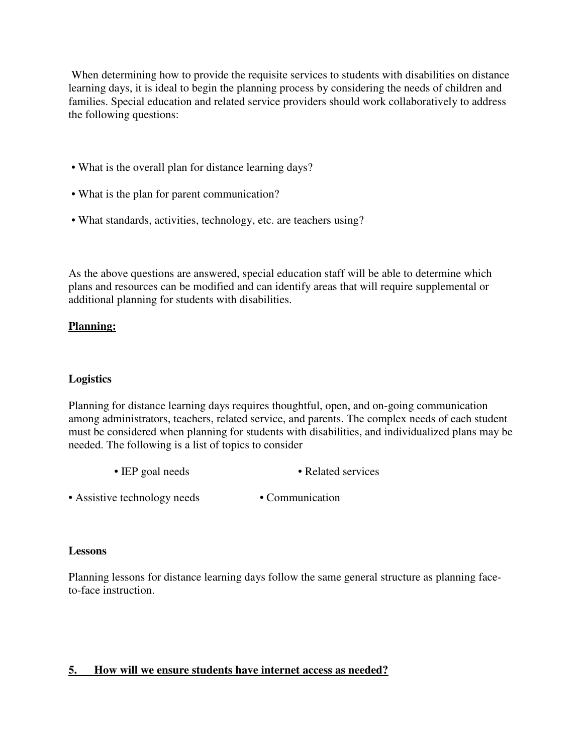When determining how to provide the requisite services to students with disabilities on distance learning days, it is ideal to begin the planning process by considering the needs of children and families. Special education and related service providers should work collaboratively to address the following questions:

- What is the overall plan for distance learning days?
- What is the plan for parent communication?
- What standards, activities, technology, etc. are teachers using?

As the above questions are answered, special education staff will be able to determine which plans and resources can be modified and can identify areas that will require supplemental or additional planning for students with disabilities.

### **Planning:**

### **Logistics**

Planning for distance learning days requires thoughtful, open, and on-going communication among administrators, teachers, related service, and parents. The complex needs of each student must be considered when planning for students with disabilities, and individualized plans may be needed. The following is a list of topics to consider

- IEP goal needs Related services
- Assistive technology needs Communication

#### **Lessons**

Planning lessons for distance learning days follow the same general structure as planning faceto-face instruction.

### **5. How will we ensure students have internet access as needed?**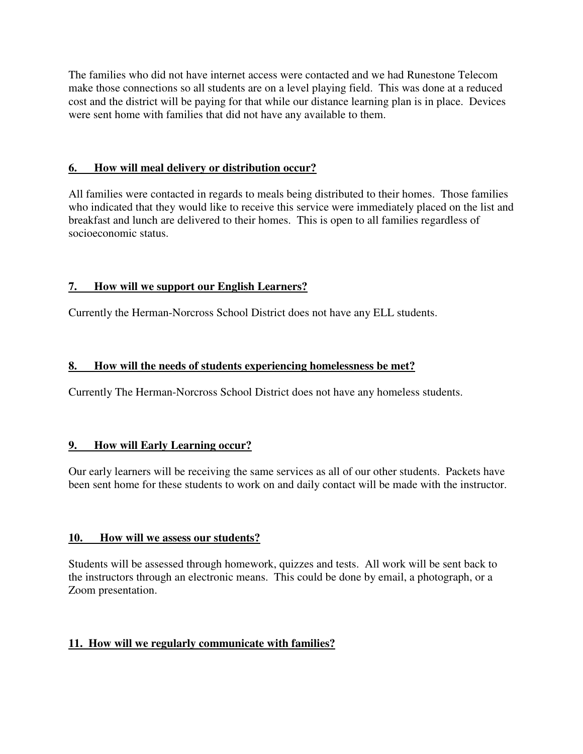The families who did not have internet access were contacted and we had Runestone Telecom make those connections so all students are on a level playing field. This was done at a reduced cost and the district will be paying for that while our distance learning plan is in place. Devices were sent home with families that did not have any available to them.

### **6. How will meal delivery or distribution occur?**

All families were contacted in regards to meals being distributed to their homes. Those families who indicated that they would like to receive this service were immediately placed on the list and breakfast and lunch are delivered to their homes. This is open to all families regardless of socioeconomic status.

## **7. How will we support our English Learners?**

Currently the Herman-Norcross School District does not have any ELL students.

### **8. How will the needs of students experiencing homelessness be met?**

Currently The Herman-Norcross School District does not have any homeless students.

### **9. How will Early Learning occur?**

Our early learners will be receiving the same services as all of our other students. Packets have been sent home for these students to work on and daily contact will be made with the instructor.

### **10. How will we assess our students?**

Students will be assessed through homework, quizzes and tests. All work will be sent back to the instructors through an electronic means. This could be done by email, a photograph, or a Zoom presentation.

## **11. How will we regularly communicate with families?**